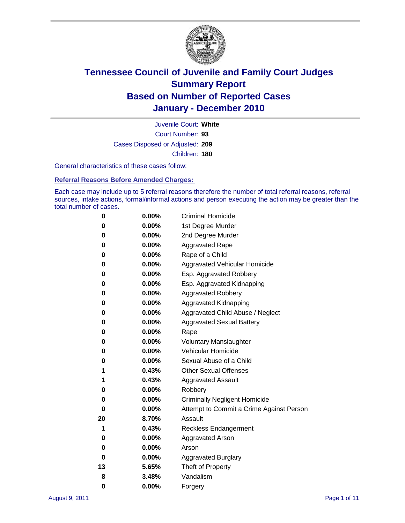

Court Number: **93** Juvenile Court: **White** Cases Disposed or Adjusted: **209** Children: **180**

General characteristics of these cases follow:

**Referral Reasons Before Amended Charges:** 

Each case may include up to 5 referral reasons therefore the number of total referral reasons, referral sources, intake actions, formal/informal actions and person executing the action may be greater than the total number of cases.

| 0  | 0.00%    | <b>Criminal Homicide</b>                 |
|----|----------|------------------------------------------|
| 0  | 0.00%    | 1st Degree Murder                        |
| 0  | 0.00%    | 2nd Degree Murder                        |
| 0  | 0.00%    | <b>Aggravated Rape</b>                   |
| 0  | 0.00%    | Rape of a Child                          |
| 0  | 0.00%    | Aggravated Vehicular Homicide            |
| 0  | 0.00%    | Esp. Aggravated Robbery                  |
| 0  | 0.00%    | Esp. Aggravated Kidnapping               |
| 0  | 0.00%    | <b>Aggravated Robbery</b>                |
| 0  | 0.00%    | Aggravated Kidnapping                    |
| 0  | 0.00%    | Aggravated Child Abuse / Neglect         |
| 0  | $0.00\%$ | <b>Aggravated Sexual Battery</b>         |
| 0  | 0.00%    | Rape                                     |
| 0  | $0.00\%$ | <b>Voluntary Manslaughter</b>            |
| 0  | 0.00%    | Vehicular Homicide                       |
| 0  | 0.00%    | Sexual Abuse of a Child                  |
| 1  | 0.43%    | <b>Other Sexual Offenses</b>             |
| 1  | 0.43%    | <b>Aggravated Assault</b>                |
| 0  | $0.00\%$ | Robbery                                  |
| 0  | 0.00%    | <b>Criminally Negligent Homicide</b>     |
| 0  | 0.00%    | Attempt to Commit a Crime Against Person |
| 20 | 8.70%    | Assault                                  |
| 1  | 0.43%    | <b>Reckless Endangerment</b>             |
| 0  | 0.00%    | <b>Aggravated Arson</b>                  |
| 0  | 0.00%    | Arson                                    |
| 0  | 0.00%    | <b>Aggravated Burglary</b>               |
| 13 | 5.65%    | Theft of Property                        |
| 8  | 3.48%    | Vandalism                                |
| 0  | 0.00%    | Forgery                                  |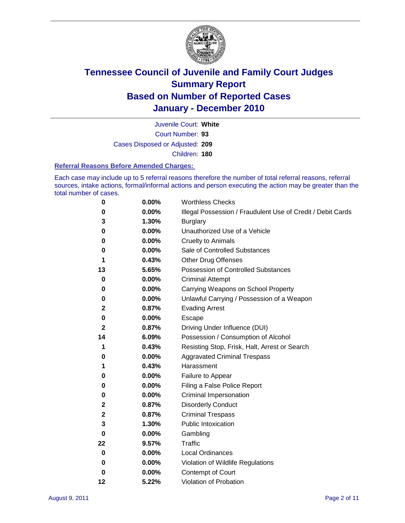

Court Number: **93** Juvenile Court: **White** Cases Disposed or Adjusted: **209** Children: **180**

#### **Referral Reasons Before Amended Charges:**

Each case may include up to 5 referral reasons therefore the number of total referral reasons, referral sources, intake actions, formal/informal actions and person executing the action may be greater than the total number of cases.

| 0  | 0.00% | <b>Worthless Checks</b>                                     |
|----|-------|-------------------------------------------------------------|
| 0  | 0.00% | Illegal Possession / Fraudulent Use of Credit / Debit Cards |
| 3  | 1.30% | <b>Burglary</b>                                             |
| 0  | 0.00% | Unauthorized Use of a Vehicle                               |
| 0  | 0.00% | <b>Cruelty to Animals</b>                                   |
| 0  | 0.00% | Sale of Controlled Substances                               |
| 1  | 0.43% | <b>Other Drug Offenses</b>                                  |
| 13 | 5.65% | Possession of Controlled Substances                         |
| 0  | 0.00% | <b>Criminal Attempt</b>                                     |
| 0  | 0.00% | Carrying Weapons on School Property                         |
| 0  | 0.00% | Unlawful Carrying / Possession of a Weapon                  |
| 2  | 0.87% | <b>Evading Arrest</b>                                       |
| 0  | 0.00% | Escape                                                      |
| 2  | 0.87% | Driving Under Influence (DUI)                               |
| 14 | 6.09% | Possession / Consumption of Alcohol                         |
| 1  | 0.43% | Resisting Stop, Frisk, Halt, Arrest or Search               |
| 0  | 0.00% | <b>Aggravated Criminal Trespass</b>                         |
| 1  | 0.43% | Harassment                                                  |
| 0  | 0.00% | Failure to Appear                                           |
| 0  | 0.00% | Filing a False Police Report                                |
| 0  | 0.00% | Criminal Impersonation                                      |
| 2  | 0.87% | <b>Disorderly Conduct</b>                                   |
| 2  | 0.87% | <b>Criminal Trespass</b>                                    |
| 3  | 1.30% | <b>Public Intoxication</b>                                  |
| 0  | 0.00% | Gambling                                                    |
| 22 | 9.57% | Traffic                                                     |
| 0  | 0.00% | <b>Local Ordinances</b>                                     |
| 0  | 0.00% | Violation of Wildlife Regulations                           |
| 0  | 0.00% | Contempt of Court                                           |
| 12 | 5.22% | Violation of Probation                                      |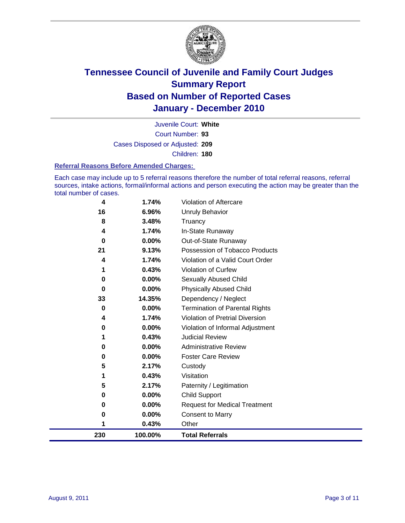

Court Number: **93** Juvenile Court: **White** Cases Disposed or Adjusted: **209** Children: **180**

#### **Referral Reasons Before Amended Charges:**

Each case may include up to 5 referral reasons therefore the number of total referral reasons, referral sources, intake actions, formal/informal actions and person executing the action may be greater than the total number of cases.

| 4   | 1.74%   | Violation of Aftercare                 |
|-----|---------|----------------------------------------|
| 16  | 6.96%   | <b>Unruly Behavior</b>                 |
| 8   | 3.48%   | Truancy                                |
| 4   | 1.74%   | In-State Runaway                       |
| 0   | 0.00%   | Out-of-State Runaway                   |
| 21  | 9.13%   | Possession of Tobacco Products         |
| 4   | 1.74%   | Violation of a Valid Court Order       |
| 1   | 0.43%   | Violation of Curfew                    |
| 0   | 0.00%   | Sexually Abused Child                  |
| 0   | 0.00%   | <b>Physically Abused Child</b>         |
| 33  | 14.35%  | Dependency / Neglect                   |
| 0   | 0.00%   | <b>Termination of Parental Rights</b>  |
| 4   | 1.74%   | <b>Violation of Pretrial Diversion</b> |
| 0   | 0.00%   | Violation of Informal Adjustment       |
| 1   | 0.43%   | <b>Judicial Review</b>                 |
| 0   | 0.00%   | <b>Administrative Review</b>           |
| 0   | 0.00%   | <b>Foster Care Review</b>              |
| 5   | 2.17%   | Custody                                |
| 1   | 0.43%   | Visitation                             |
| 5   | 2.17%   | Paternity / Legitimation               |
| 0   | 0.00%   | <b>Child Support</b>                   |
| 0   | 0.00%   | <b>Request for Medical Treatment</b>   |
| 0   | 0.00%   | <b>Consent to Marry</b>                |
| 1   | 0.43%   | Other                                  |
| 230 | 100.00% | <b>Total Referrals</b>                 |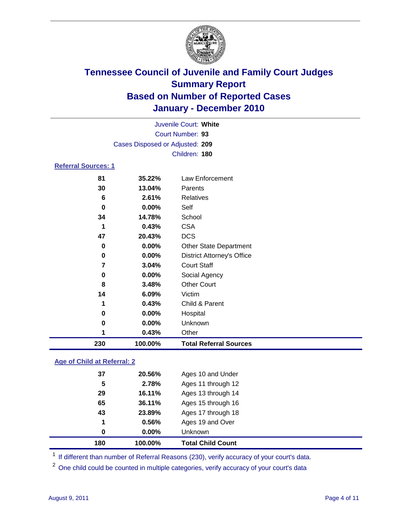

| Juvenile Court: White      |                                 |                                   |  |
|----------------------------|---------------------------------|-----------------------------------|--|
| Court Number: 93           |                                 |                                   |  |
|                            | Cases Disposed or Adjusted: 209 |                                   |  |
|                            |                                 | Children: 180                     |  |
| <b>Referral Sources: 1</b> |                                 |                                   |  |
| 81                         | 35.22%                          | Law Enforcement                   |  |
| 30                         | 13.04%                          | Parents                           |  |
| 6                          | 2.61%                           | <b>Relatives</b>                  |  |
| 0                          | 0.00%                           | Self                              |  |
| 34                         | 14.78%                          | School                            |  |
| 1                          | 0.43%                           | <b>CSA</b>                        |  |
| 47                         | 20.43%                          | <b>DCS</b>                        |  |
| 0                          | 0.00%                           | <b>Other State Department</b>     |  |
| 0                          | 0.00%                           | <b>District Attorney's Office</b> |  |
| 7                          | 3.04%                           | <b>Court Staff</b>                |  |
| 0                          | 0.00%                           | Social Agency                     |  |
| 8                          | 3.48%                           | <b>Other Court</b>                |  |
| 14                         | 6.09%                           | Victim                            |  |
| 1                          | 0.43%                           | Child & Parent                    |  |
| 0                          | 0.00%                           | Hospital                          |  |
| 0                          | 0.00%                           | Unknown                           |  |
| 1                          | 0.43%                           | Other                             |  |
| 230                        | 100.00%                         | <b>Total Referral Sources</b>     |  |

### **Age of Child at Referral: 2**

| 180 | 100.00%  | <b>Total Child Count</b> |
|-----|----------|--------------------------|
| 0   | $0.00\%$ | <b>Unknown</b>           |
| 1   | 0.56%    | Ages 19 and Over         |
| 43  | 23.89%   | Ages 17 through 18       |
| 65  | 36.11%   | Ages 15 through 16       |
| 29  | 16.11%   | Ages 13 through 14       |
| 5   | 2.78%    | Ages 11 through 12       |
| 37  | 20.56%   | Ages 10 and Under        |
|     |          |                          |

<sup>1</sup> If different than number of Referral Reasons (230), verify accuracy of your court's data.

<sup>2</sup> One child could be counted in multiple categories, verify accuracy of your court's data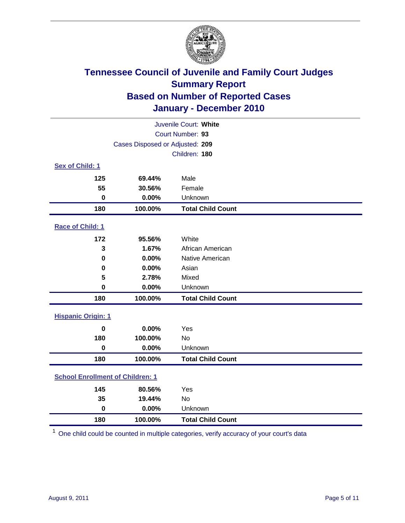

| Juvenile Court: White                   |                                 |                          |  |  |  |
|-----------------------------------------|---------------------------------|--------------------------|--|--|--|
|                                         | Court Number: 93                |                          |  |  |  |
|                                         | Cases Disposed or Adjusted: 209 |                          |  |  |  |
|                                         |                                 | Children: 180            |  |  |  |
| Sex of Child: 1                         |                                 |                          |  |  |  |
| 125                                     | 69.44%                          | Male                     |  |  |  |
| 55                                      | 30.56%                          | Female                   |  |  |  |
| $\mathbf 0$                             | 0.00%                           | Unknown                  |  |  |  |
| 180                                     | 100.00%                         | <b>Total Child Count</b> |  |  |  |
| Race of Child: 1                        |                                 |                          |  |  |  |
| 172                                     | 95.56%                          | White                    |  |  |  |
| 3                                       | 1.67%                           | African American         |  |  |  |
| 0                                       | 0.00%                           | Native American          |  |  |  |
| 0                                       | 0.00%                           | Asian                    |  |  |  |
| 5                                       | 2.78%                           | Mixed                    |  |  |  |
| $\mathbf 0$                             | 0.00%                           | Unknown                  |  |  |  |
| 180                                     | 100.00%                         | <b>Total Child Count</b> |  |  |  |
| <b>Hispanic Origin: 1</b>               |                                 |                          |  |  |  |
| $\mathbf 0$                             | 0.00%                           | Yes                      |  |  |  |
| 180                                     | 100.00%                         | <b>No</b>                |  |  |  |
| $\mathbf 0$                             | 0.00%                           | Unknown                  |  |  |  |
| 180                                     | 100.00%                         | <b>Total Child Count</b> |  |  |  |
| <b>School Enrollment of Children: 1</b> |                                 |                          |  |  |  |
| 145                                     | 80.56%                          | Yes                      |  |  |  |
| 35                                      | 19.44%                          | No                       |  |  |  |
| $\mathbf 0$                             | 0.00%                           | Unknown                  |  |  |  |
| 180                                     | 100.00%                         | <b>Total Child Count</b> |  |  |  |

One child could be counted in multiple categories, verify accuracy of your court's data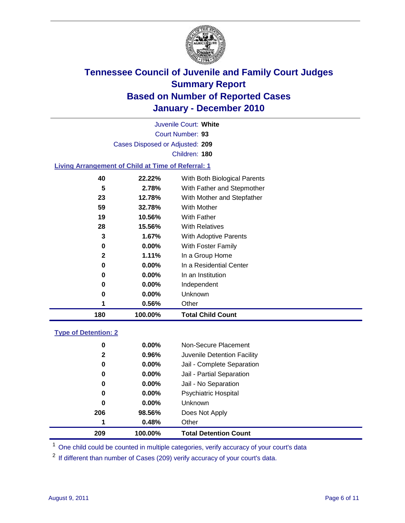

Court Number: **93** Juvenile Court: **White** Cases Disposed or Adjusted: **209** Children: **180**

#### **Living Arrangement of Child at Time of Referral: 1**

| 180 | 100.00%    | <b>Total Child Count</b>     |
|-----|------------|------------------------------|
| 1   | 0.56%      | Other                        |
| 0   | $0.00\%$   | Unknown                      |
| 0   | $0.00\%$   | Independent                  |
| 0   | 0.00%      | In an Institution            |
| 0   | $0.00\%$   | In a Residential Center      |
|     | 2<br>1.11% | In a Group Home              |
| 0   | $0.00\%$   | With Foster Family           |
| 3   | 1.67%      | <b>With Adoptive Parents</b> |
| 28  | 15.56%     | <b>With Relatives</b>        |
| 19  | 10.56%     | With Father                  |
| 59  | 32.78%     | With Mother                  |
| 23  | 12.78%     | With Mother and Stepfather   |
| 5   | 2.78%      | With Father and Stepmother   |
| 40  | 22.22%     | With Both Biological Parents |
|     |            |                              |

#### **Type of Detention: 2**

| 209 | 100.00%               | <b>Total Detention Count</b> |
|-----|-----------------------|------------------------------|
| 1   | 0.48%                 | Other                        |
| 206 | 98.56%                | Does Not Apply               |
|     | 0<br>$0.00\%$         | Unknown                      |
|     | 0<br>$0.00\%$         | <b>Psychiatric Hospital</b>  |
|     | 0.00%<br>0            | Jail - No Separation         |
|     | 0<br>$0.00\%$         | Jail - Partial Separation    |
|     | 0<br>$0.00\%$         | Jail - Complete Separation   |
|     | 0.96%<br>$\mathbf{2}$ | Juvenile Detention Facility  |
|     | $0.00\%$<br>0         | Non-Secure Placement         |
|     |                       |                              |

<sup>1</sup> One child could be counted in multiple categories, verify accuracy of your court's data

<sup>2</sup> If different than number of Cases (209) verify accuracy of your court's data.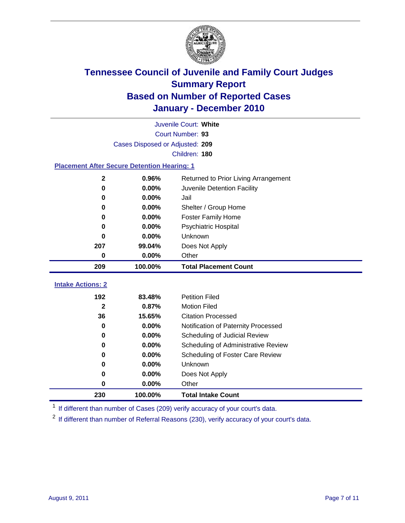

| Juvenile Court: White                              |                                 |                                      |  |  |  |  |
|----------------------------------------------------|---------------------------------|--------------------------------------|--|--|--|--|
| Court Number: 93                                   |                                 |                                      |  |  |  |  |
|                                                    | Cases Disposed or Adjusted: 209 |                                      |  |  |  |  |
|                                                    |                                 | Children: 180                        |  |  |  |  |
| <b>Placement After Secure Detention Hearing: 1</b> |                                 |                                      |  |  |  |  |
| $\mathbf 2$                                        | 0.96%                           | Returned to Prior Living Arrangement |  |  |  |  |
| $\bf{0}$                                           | 0.00%                           | Juvenile Detention Facility          |  |  |  |  |
| 0                                                  | 0.00%                           | Jail                                 |  |  |  |  |
| 0                                                  | 0.00%                           | Shelter / Group Home                 |  |  |  |  |
| 0                                                  | 0.00%                           | <b>Foster Family Home</b>            |  |  |  |  |
| $\bf{0}$                                           | 0.00%                           | Psychiatric Hospital                 |  |  |  |  |
| $\bf{0}$                                           | 0.00%                           | Unknown                              |  |  |  |  |
| 207                                                | 99.04%                          | Does Not Apply                       |  |  |  |  |
| 0                                                  | 0.00%                           | Other                                |  |  |  |  |
| 209                                                | 100.00%                         | <b>Total Placement Count</b>         |  |  |  |  |
| <b>Intake Actions: 2</b>                           |                                 |                                      |  |  |  |  |
| 192                                                | 83.48%                          | <b>Petition Filed</b>                |  |  |  |  |
| $\mathbf{2}$                                       | 0.87%                           | <b>Motion Filed</b>                  |  |  |  |  |
| 36                                                 | 15.65%                          | <b>Citation Processed</b>            |  |  |  |  |
| 0                                                  | 0.00%                           | Notification of Paternity Processed  |  |  |  |  |
| $\bf{0}$                                           | 0.00%                           | Scheduling of Judicial Review        |  |  |  |  |
| $\bf{0}$                                           | 0.00%                           | Scheduling of Administrative Review  |  |  |  |  |
| 0                                                  | 0.00%                           | Scheduling of Foster Care Review     |  |  |  |  |
| $\bf{0}$                                           | 0.00%                           | Unknown                              |  |  |  |  |
| 0                                                  | 0.00%                           | Does Not Apply                       |  |  |  |  |
| 0                                                  | 0.00%                           | Other                                |  |  |  |  |

<sup>1</sup> If different than number of Cases (209) verify accuracy of your court's data.

**100.00% Total Intake Count**

<sup>2</sup> If different than number of Referral Reasons (230), verify accuracy of your court's data.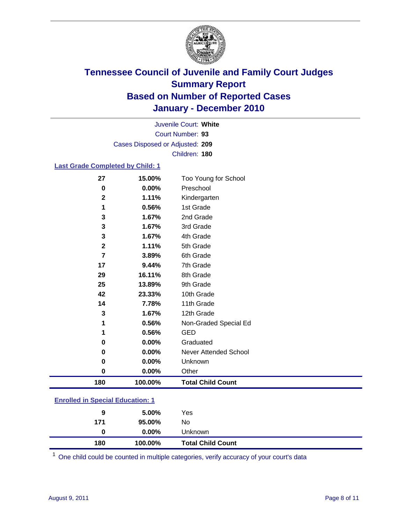

Court Number: **93** Juvenile Court: **White** Cases Disposed or Adjusted: **209** Children: **180**

#### **Last Grade Completed by Child: 1**

| 27           | 15.00%  | Too Young for School     |
|--------------|---------|--------------------------|
| 0            | 0.00%   | Preschool                |
| $\mathbf{2}$ | 1.11%   | Kindergarten             |
| 1            | 0.56%   | 1st Grade                |
| 3            | 1.67%   | 2nd Grade                |
| 3            | 1.67%   | 3rd Grade                |
| 3            | 1.67%   | 4th Grade                |
| $\mathbf 2$  | 1.11%   | 5th Grade                |
| 7            | 3.89%   | 6th Grade                |
| 17           | 9.44%   | 7th Grade                |
| 29           | 16.11%  | 8th Grade                |
| 25           | 13.89%  | 9th Grade                |
| 42           | 23.33%  | 10th Grade               |
| 14           | 7.78%   | 11th Grade               |
| $\mathbf 3$  | 1.67%   | 12th Grade               |
| 1            | 0.56%   | Non-Graded Special Ed    |
| 1            | 0.56%   | <b>GED</b>               |
| 0            | 0.00%   | Graduated                |
| 0            | 0.00%   | Never Attended School    |
| 0            | 0.00%   | Unknown                  |
| $\mathbf 0$  | 0.00%   | Other                    |
| 180          | 100.00% | <b>Total Child Count</b> |
|              |         |                          |

### **Enrolled in Special Education: 1**

| 180 | 100.00%       | <b>Total Child Count</b> |
|-----|---------------|--------------------------|
|     | $0.00\%$<br>0 | Unknown                  |
| 171 | 95.00%        | No                       |
|     | 5.00%<br>9    | Yes                      |
|     |               |                          |

One child could be counted in multiple categories, verify accuracy of your court's data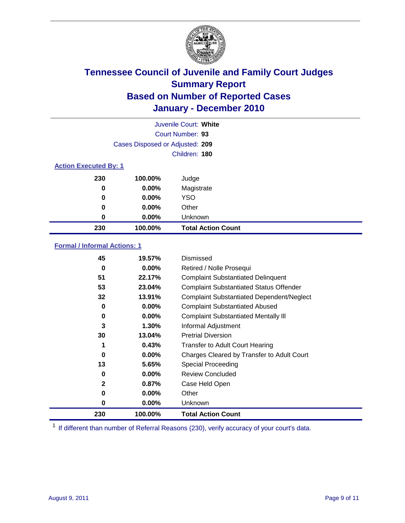

| Juvenile Court: White        |                                 |                           |  |  |
|------------------------------|---------------------------------|---------------------------|--|--|
|                              |                                 | Court Number: 93          |  |  |
|                              | Cases Disposed or Adjusted: 209 |                           |  |  |
|                              |                                 | Children: 180             |  |  |
| <b>Action Executed By: 1</b> |                                 |                           |  |  |
| 230                          | 100.00%                         | Judge                     |  |  |
| 0                            | $0.00\%$                        | Magistrate                |  |  |
| 0                            | $0.00\%$                        | <b>YSO</b>                |  |  |
| 0                            | 0.00%                           | Other                     |  |  |
| 0                            | 0.00%                           | Unknown                   |  |  |
| 230                          | 100.00%                         | <b>Total Action Count</b> |  |  |

### **Formal / Informal Actions: 1**

| 45           | 19.57%   | Dismissed                                        |
|--------------|----------|--------------------------------------------------|
| 0            | $0.00\%$ | Retired / Nolle Prosequi                         |
| 51           | 22.17%   | <b>Complaint Substantiated Delinquent</b>        |
| 53           | 23.04%   | <b>Complaint Substantiated Status Offender</b>   |
| 32           | 13.91%   | <b>Complaint Substantiated Dependent/Neglect</b> |
| 0            | $0.00\%$ | <b>Complaint Substantiated Abused</b>            |
| 0            | $0.00\%$ | <b>Complaint Substantiated Mentally III</b>      |
| 3            | $1.30\%$ | Informal Adjustment                              |
| 30           | 13.04%   | <b>Pretrial Diversion</b>                        |
| 1            | 0.43%    | <b>Transfer to Adult Court Hearing</b>           |
| 0            | $0.00\%$ | Charges Cleared by Transfer to Adult Court       |
| 13           | 5.65%    | Special Proceeding                               |
| 0            | $0.00\%$ | <b>Review Concluded</b>                          |
| $\mathbf{2}$ | 0.87%    | Case Held Open                                   |
| 0            | $0.00\%$ | Other                                            |
| 0            | $0.00\%$ | Unknown                                          |
| 230          | 100.00%  | <b>Total Action Count</b>                        |

<sup>1</sup> If different than number of Referral Reasons (230), verify accuracy of your court's data.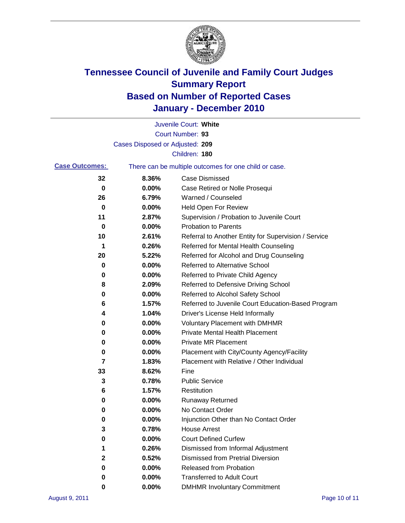

|                                                                                |                                 | Juvenile Court: White                                |  |  |
|--------------------------------------------------------------------------------|---------------------------------|------------------------------------------------------|--|--|
|                                                                                |                                 | Court Number: 93                                     |  |  |
|                                                                                | Cases Disposed or Adjusted: 209 |                                                      |  |  |
|                                                                                |                                 | Children: 180                                        |  |  |
| <b>Case Outcomes:</b><br>There can be multiple outcomes for one child or case. |                                 |                                                      |  |  |
| 32                                                                             | 8.36%                           | <b>Case Dismissed</b>                                |  |  |
| $\mathbf 0$                                                                    | 0.00%                           | Case Retired or Nolle Prosequi                       |  |  |
| 26                                                                             | 6.79%                           | Warned / Counseled                                   |  |  |
| 0                                                                              | 0.00%                           | <b>Held Open For Review</b>                          |  |  |
| 11                                                                             | 2.87%                           | Supervision / Probation to Juvenile Court            |  |  |
| 0                                                                              | 0.00%                           | <b>Probation to Parents</b>                          |  |  |
| 10                                                                             | 2.61%                           | Referral to Another Entity for Supervision / Service |  |  |
| 1                                                                              | 0.26%                           | Referred for Mental Health Counseling                |  |  |
| 20                                                                             | 5.22%                           | Referred for Alcohol and Drug Counseling             |  |  |
| 0                                                                              | 0.00%                           | <b>Referred to Alternative School</b>                |  |  |
| 0                                                                              | 0.00%                           | Referred to Private Child Agency                     |  |  |
| 8                                                                              | 2.09%                           | Referred to Defensive Driving School                 |  |  |
| 0                                                                              | 0.00%                           | Referred to Alcohol Safety School                    |  |  |
| 6                                                                              | 1.57%                           | Referred to Juvenile Court Education-Based Program   |  |  |
| 4                                                                              | 1.04%                           | Driver's License Held Informally                     |  |  |
| 0                                                                              | 0.00%                           | <b>Voluntary Placement with DMHMR</b>                |  |  |
| 0                                                                              | 0.00%                           | <b>Private Mental Health Placement</b>               |  |  |
| 0                                                                              | 0.00%                           | <b>Private MR Placement</b>                          |  |  |
| 0                                                                              | 0.00%                           | Placement with City/County Agency/Facility           |  |  |
| 7                                                                              | 1.83%                           | Placement with Relative / Other Individual           |  |  |
| 33                                                                             | 8.62%                           | Fine                                                 |  |  |
| 3                                                                              | 0.78%                           | <b>Public Service</b>                                |  |  |
| 6                                                                              | 1.57%                           | Restitution                                          |  |  |
| 0                                                                              | 0.00%                           | <b>Runaway Returned</b>                              |  |  |
| 0                                                                              | 0.00%                           | No Contact Order                                     |  |  |
| 0                                                                              | 0.00%                           | Injunction Other than No Contact Order               |  |  |
| 3                                                                              | 0.78%                           | <b>House Arrest</b>                                  |  |  |
| 0                                                                              | 0.00%                           | <b>Court Defined Curfew</b>                          |  |  |
| 1                                                                              | 0.26%                           | Dismissed from Informal Adjustment                   |  |  |
| 2                                                                              | 0.52%                           | <b>Dismissed from Pretrial Diversion</b>             |  |  |
| 0                                                                              | 0.00%                           | <b>Released from Probation</b>                       |  |  |
| 0                                                                              | $0.00\%$                        | <b>Transferred to Adult Court</b>                    |  |  |
| 0                                                                              | $0.00\%$                        | <b>DMHMR Involuntary Commitment</b>                  |  |  |